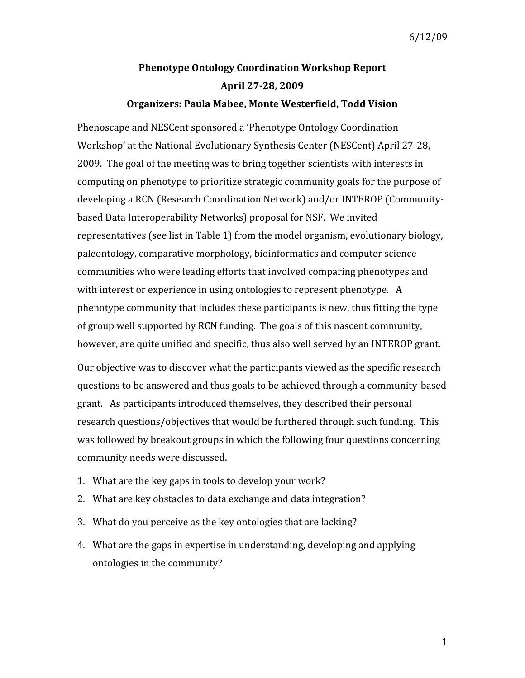# **Phenotype Ontology Coordination Workshop Report April 2728, 2009**

## **Organizers: Paula Mabee, Monte Westerfield, Todd Vision**

Phenoscape and NESCent sponsored a 'Phenotype Ontology Coordination Workshop' at the National Evolutionary Synthesis Center (NESCent) April 27‐28, 2009. The goal of the meeting was to bring together scientists with interests in computing on phenotype to prioritize strategic community goals for the purpose of developing a RCN (Research Coordination Network) and/or INTEROP (Community‐ based Data Interoperability Networks) proposal for NSF. We invited representatives (see list in Table 1) from the model organism, evolutionary biology, paleontology, comparative morphology, bioinformatics and computer science communities who were leading efforts that involved comparing phenotypes and with interest or experience in using ontologies to represent phenotype. A phenotype community that includes these participants is new, thus fitting the type of group well supported by RCN funding. The goals of this nascent community, however, are quite unified and specific, thus also well served by an INTEROP grant.

Our objective was to discover what the participants viewed as the specific research questions to be answered and thus goals to be achieved through a community‐based grant. As participants introduced themselves, they described their personal research questions/objectives that would be furthered through such funding. This was followed by breakout groups in which the following four questions concerning community needs were discussed.

- 1. What are the key gaps in tools to develop your work?
- 2. What are key obstacles to data exchange and data integration?
- 3. What do you perceive as the key ontologies that are lacking?
- 4. What are the gaps in expertise in understanding, developing and applying ontologies in the community?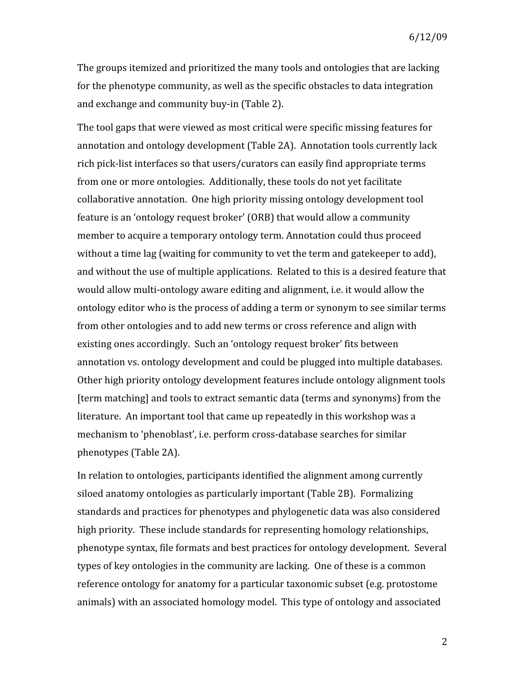The groups itemized and prioritized the many tools and ontologies that are lacking for the phenotype community, as well as the specific obstacles to data integration and exchange and community buy‐in (Table 2).

The tool gaps that were viewed as most critical were specific missing features for annotation and ontology development (Table 2A). Annotation tools currently lack rich pick‐list interfaces so that users/curators can easily find appropriate terms from one or more ontologies. Additionally, these tools do not yet facilitate collaborative annotation. One high priority missing ontology development tool feature is an 'ontology request broker' (ORB) that would allow a community member to acquire a temporary ontology term. Annotation could thus proceed without a time lag (waiting for community to vet the term and gatekeeper to add), and without the use of multiple applications. Related to this is a desired feature that would allow multi-ontology aware editing and alignment, i.e. it would allow the ontology editor who is the process of adding a term or synonym to see similar terms from other ontologies and to add new terms or cross reference and align with existing ones accordingly. Such an 'ontology request broker' fits between annotation vs. ontology development and could be plugged into multiple databases. Other high priority ontology development features include ontology alignment tools [term matching] and tools to extract semantic data (terms and synonyms) from the literature. An important tool that came up repeatedly in this workshop was a mechanism to 'phenoblast', i.e. perform cross-database searches for similar phenotypes (Table 2A).

In relation to ontologies, participants identified the alignment among currently siloed anatomy ontologies as particularly important (Table 2B). Formalizing standards and practices for phenotypes and phylogenetic data was also considered high priority. These include standards for representing homology relationships, phenotype syntax, file formats and best practices for ontology development. Several types of key ontologies in the community are lacking. One of these is a common reference ontology for anatomy for a particular taxonomic subset (e.g. protostome animals) with an associated homology model. This type of ontology and associated

2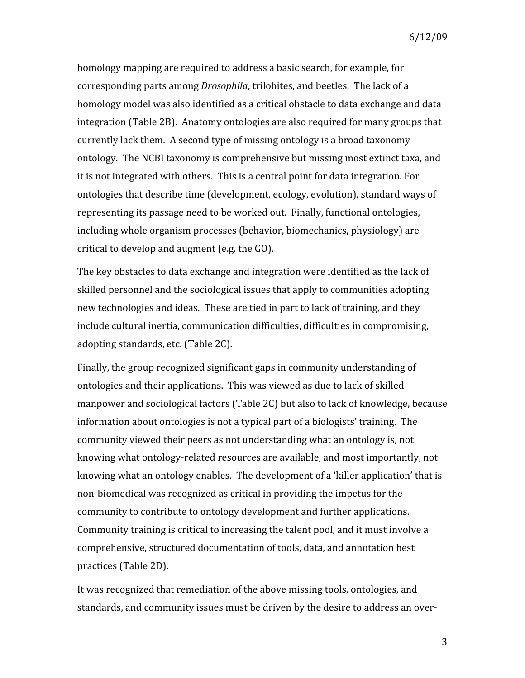homology mapping are required to address a basic search, for example, for corresponding parts among *Drosophila*, trilobites, and beetles. The lack of a homology model was also identified as a critical obstacle to data exchange and data integration (Table 2B). Anatomy ontologies are also required for many groups that currently lack them. A second type of missing ontology is a broad taxonomy ontology. The NCBI taxonomy is comprehensive but missing most extinct taxa, and it is not integrated with others. This is a central point for data integration. For ontologies that describe time (development, ecology, evolution), standard ways of representing its passage need to be worked out. Finally, functional ontologies, including whole organism processes (behavior, biomechanics, physiology) are critical to develop and augment (e.g. the GO).

The key obstacles to data exchange and integration were identified as the lack of skilled personnel and the sociological issues that apply to communities adopting new technologies and ideas. These are tied in part to lack of training, and they include cultural inertia, communication difficulties, difficulties in compromising, adopting standards, etc. (Table 2C).

Finally, the group recognized significant gaps in community understanding of ontologies and their applications. This was viewed as due to lack of skilled manpower and sociological factors (Table 2C) but also to lack of knowledge, because information about ontologies is not a typical part of a biologists' training. The community viewed their peers as not understanding what an ontology is, not knowing what ontology‐related resources are available, and most importantly, not knowing what an ontology enables. The development of a 'killer application' that is non‐biomedical was recognized as critical in providing the impetus for the community to contribute to ontology development and further applications. Community training is critical to increasing the talent pool, and it must involve a comprehensive, structured documentation of tools, data, and annotation best practices (Table 2D).

It was recognized that remediation of the above missing tools, ontologies, and standards, and community issues must be driven by the desire to address an over‐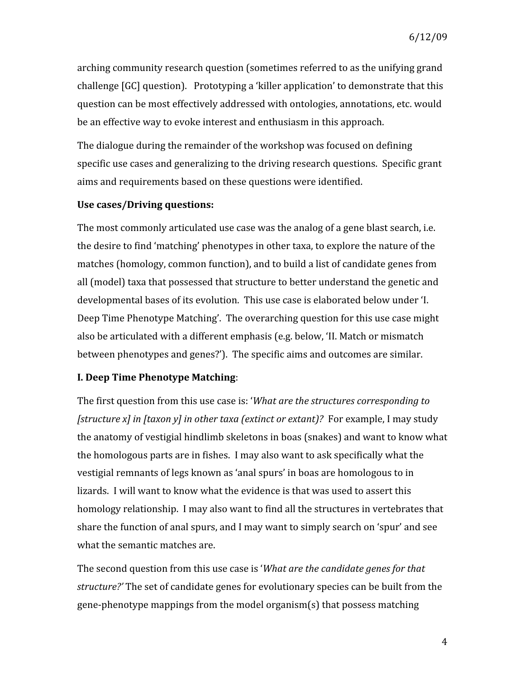arching community research question (sometimes referred to as the unifying grand challenge [GC] question). Prototyping a 'killer application' to demonstrate that this question can be most effectively addressed with ontologies, annotations, etc. would be an effective way to evoke interest and enthusiasm in this approach.

The dialogue during the remainder of the workshop was focused on defining specific use cases and generalizing to the driving research questions. Specific grant aims and requirements based on these questions were identified.

### **Use cases/Driving questions:**

The most commonly articulated use case was the analog of a gene blast search, i.e. the desire to find 'matching' phenotypes in other taxa, to explore the nature of the matches (homology, common function), and to build a list of candidate genes from all (model) taxa that possessed that structure to better understand the genetic and developmental bases of its evolution. This use case is elaborated below under 'I. Deep Time Phenotype Matching'. The overarching question for this use case might also be articulated with a different emphasis (e.g. below, 'II. Match or mismatch between phenotypes and genes?'). The specific aims and outcomes are similar.

## **I. Deep Time Phenotype Matching**:

The first question from this use case is: '*What are the structures corresponding to [structure x] in [taxon y] in other taxa (extinct or extant)?* For example, I may study the anatomy of vestigial hindlimb skeletons in boas (snakes) and want to know what the homologous parts are in fishes. I may also want to ask specifically what the vestigial remnants of legs known as 'anal spurs' in boas are homologous to in lizards. I will want to know what the evidence is that was used to assert this homology relationship. I may also want to find all the structures in vertebrates that share the function of anal spurs, and I may want to simply search on 'spur' and see what the semantic matches are.

The second question from this use case is '*What are the candidate genes for that structure?'* The set of candidate genes for evolutionary species can be built from the gene‐phenotype mappings from the model organism(s) that possess matching

4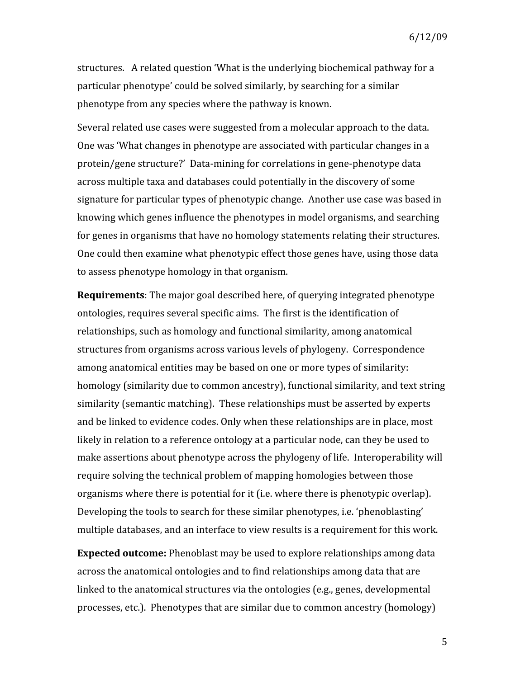structures. A related question 'What is the underlying biochemical pathway for a particular phenotype' could be solved similarly, by searching for a similar phenotype from any species where the pathway is known.

Several related use cases were suggested from a molecular approach to the data. One was 'What changes in phenotype are associated with particular changes in a protein/gene structure?' Data‐mining for correlations in gene‐phenotype data across multiple taxa and databases could potentially in the discovery of some signature for particular types of phenotypic change. Another use case was based in knowing which genes influence the phenotypes in model organisms, and searching for genes in organisms that have no homology statements relating their structures. One could then examine what phenotypic effect those genes have, using those data to assess phenotype homology in that organism.

**Requirements**: The major goal described here, of querying integrated phenotype ontologies, requires several specific aims. The first is the identification of relationships, such as homology and functional similarity, among anatomical structures from organisms across various levels of phylogeny. Correspondence among anatomical entities may be based on one or more types of similarity: homology (similarity due to common ancestry), functional similarity, and text string similarity (semantic matching). These relationships must be asserted by experts and be linked to evidence codes. Only when these relationships are in place, most likely in relation to a reference ontology at a particular node, can they be used to make assertions about phenotype across the phylogeny of life. Interoperability will require solving the technical problem of mapping homologies between those organisms where there is potential for it (i.e. where there is phenotypic overlap). Developing the tools to search for these similar phenotypes, i.e. 'phenoblasting' multiple databases, and an interface to view results is a requirement for this work.

**Expected outcome:** Phenoblast may be used to explore relationships among data across the anatomical ontologies and to find relationships among data that are linked to the anatomical structures via the ontologies (e.g., genes, developmental processes, etc.). Phenotypes that are similar due to common ancestry (homology)

5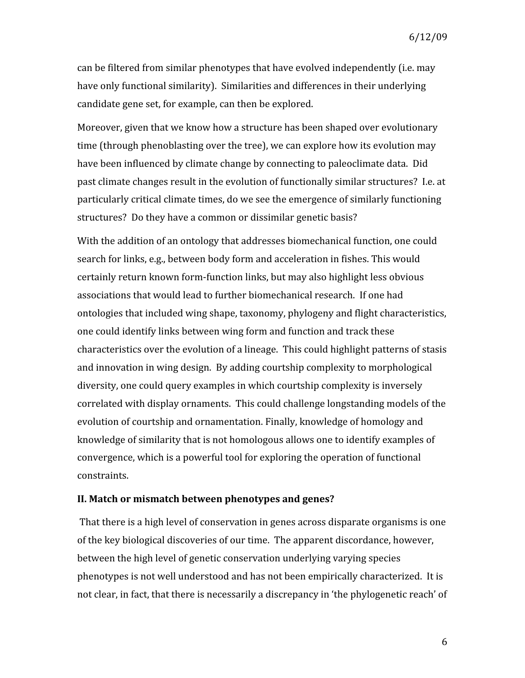can be filtered from similar phenotypes that have evolved independently (i.e. may have only functional similarity). Similarities and differences in their underlying candidate gene set, for example, can then be explored.

Moreover, given that we know how a structure has been shaped over evolutionary time (through phenoblasting over the tree), we can explore how its evolution may have been influenced by climate change by connecting to paleoclimate data. Did past climate changes result in the evolution of functionally similar structures? I.e. at particularly critical climate times, do we see the emergence of similarly functioning structures? Do they have a common or dissimilar genetic basis?

With the addition of an ontology that addresses biomechanical function, one could search for links, e.g., between body form and acceleration in fishes. This would certainly return known form‐function links, but may also highlight less obvious associations that would lead to further biomechanical research. If one had ontologies that included wing shape, taxonomy, phylogeny and flight characteristics, one could identify links between wing form and function and track these characteristics over the evolution of a lineage. This could highlight patterns of stasis and innovation in wing design. By adding courtship complexity to morphological diversity, one could query examples in which courtship complexity is inversely correlated with display ornaments. This could challenge longstanding models of the evolution of courtship and ornamentation. Finally, knowledge of homology and knowledge of similarity that is not homologous allows one to identify examples of convergence, which is a powerful tool for exploring the operation of functional constraints.

#### **II. Match or mismatch between phenotypes and genes?**

 That there is a high level of conservation in genes across disparate organisms is one of the key biological discoveries of our time. The apparent discordance, however, between the high level of genetic conservation underlying varying species phenotypes is not well understood and has not been empirically characterized. It is not clear, in fact, that there is necessarily a discrepancy in 'the phylogenetic reach' of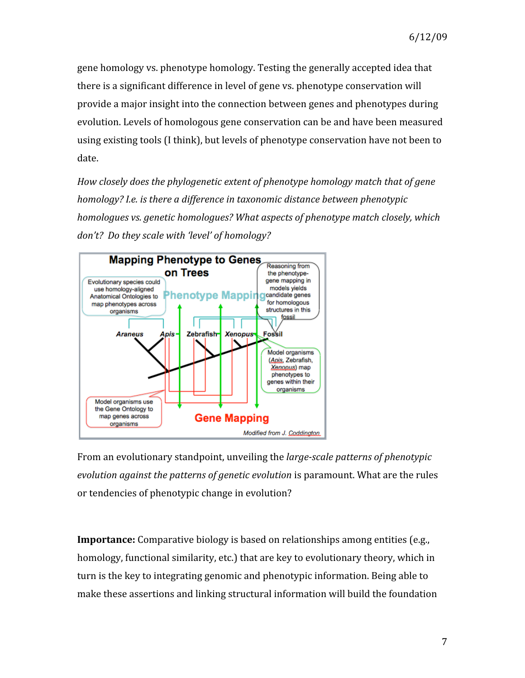gene homology vs. phenotype homology. Testing the generally accepted idea that there is a significant difference in level of gene vs. phenotype conservation will provide a major insight into the connection between genes and phenotypes during evolution. Levels of homologous gene conservation can be and have been measured using existing tools (I think), but levels of phenotype conservation have not been to date.

*How closely does the phylogenetic extent of phenotype homology match that of gene homology? I.e. is there a difference in taxonomic distance between phenotypic homologues vs. genetic homologues? What aspects of phenotype match closely, which don't? Do they scale with 'level' of homology?* 



From an evolutionary standpoint, unveiling the *large-scale patterns of phenotypic evolution against the patterns of genetic evolution* is paramount. What are the rules or tendencies of phenotypic change in evolution?

**Importance:** Comparative biology is based on relationships among entities (e.g., homology, functional similarity, etc.) that are key to evolutionary theory, which in turn is the key to integrating genomic and phenotypic information. Being able to make these assertions and linking structural information will build the foundation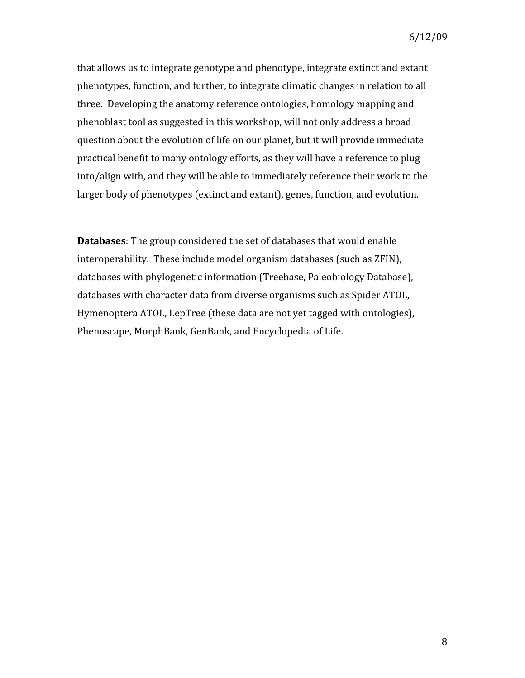that allows us to integrate genotype and phenotype, integrate extinct and extant phenotypes, function, and further, to integrate climatic changes in relation to all three. Developing the anatomy reference ontologies, homology mapping and phenoblast tool as suggested in this workshop, will not only address a broad question about the evolution of life on our planet, but it will provide immediate practical benefit to many ontology efforts, as they will have a reference to plug into/align with, and they will be able to immediately reference their work to the larger body of phenotypes (extinct and extant), genes, function, and evolution.

**Databases**: The group considered the set of databases that would enable interoperability. These include model organism databases (such as ZFIN), databases with phylogenetic information (Treebase, Paleobiology Database), databases with character data from diverse organisms such as Spider ATOL, Hymenoptera ATOL, LepTree (these data are not yet tagged with ontologies), Phenoscape, MorphBank, GenBank, and Encyclopedia of Life.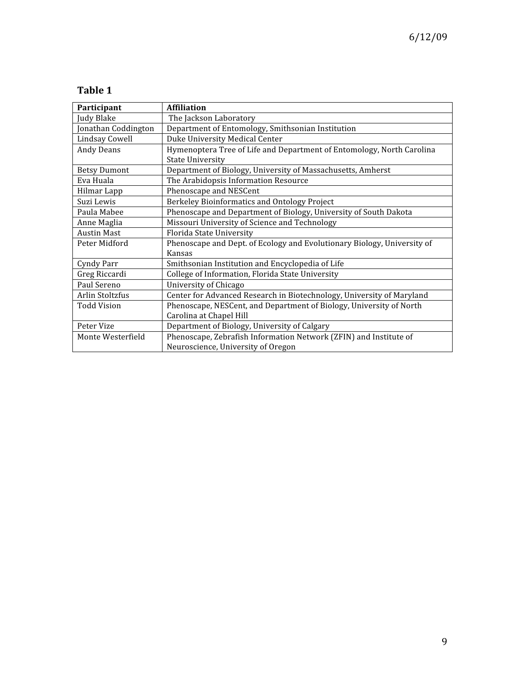# **Table 1**

| Participant         | Affiliation                                                             |  |
|---------------------|-------------------------------------------------------------------------|--|
| Judy Blake          | The Jackson Laboratory                                                  |  |
| Jonathan Coddington | Department of Entomology, Smithsonian Institution                       |  |
| Lindsay Cowell      | Duke University Medical Center                                          |  |
| <b>Andy Deans</b>   | Hymenoptera Tree of Life and Department of Entomology, North Carolina   |  |
|                     | <b>State University</b>                                                 |  |
| <b>Betsy Dumont</b> | Department of Biology, University of Massachusetts, Amherst             |  |
| Eva Huala           | The Arabidopsis Information Resource                                    |  |
| Hilmar Lapp         | Phenoscape and NESCent                                                  |  |
| Suzi Lewis          | Berkeley Bioinformatics and Ontology Project                            |  |
| Paula Mabee         | Phenoscape and Department of Biology, University of South Dakota        |  |
| Anne Maglia         | Missouri University of Science and Technology                           |  |
| <b>Austin Mast</b>  | Florida State University                                                |  |
| Peter Midford       | Phenoscape and Dept. of Ecology and Evolutionary Biology, University of |  |
|                     | Kansas                                                                  |  |
| Cyndy Parr          | Smithsonian Institution and Encyclopedia of Life                        |  |
| Greg Riccardi       | College of Information, Florida State University                        |  |
| Paul Sereno         | University of Chicago                                                   |  |
| Arlin Stoltzfus     | Center for Advanced Research in Biotechnology, University of Maryland   |  |
| <b>Todd Vision</b>  | Phenoscape, NESCent, and Department of Biology, University of North     |  |
|                     | Carolina at Chapel Hill                                                 |  |
| Peter Vize          | Department of Biology, University of Calgary                            |  |
| Monte Westerfield   | Phenoscape, Zebrafish Information Network (ZFIN) and Institute of       |  |
|                     | Neuroscience, University of Oregon                                      |  |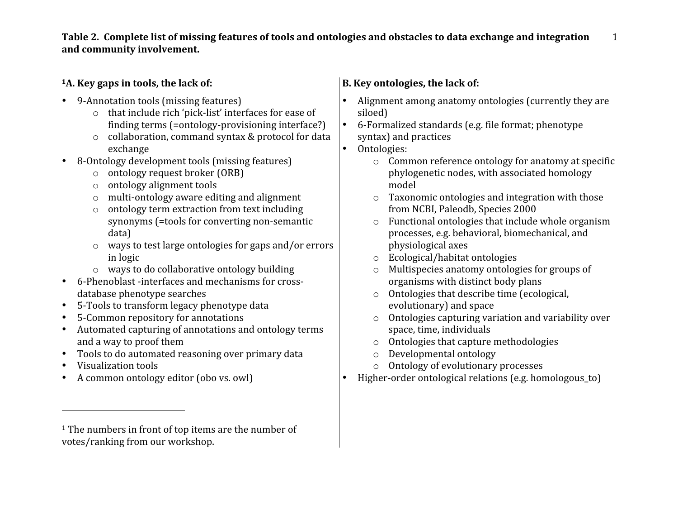**Table 2. Complete list of missing features of tools and ontologies and obstacles to data exchange and integration and community involvement.** 1

# **1A. Key gaps in tools, the lack of:**

- 9-Annotation tools (missing features)
	- o that include rich 'pick‐list' interfaces for ease of finding terms (=ontology‐provisioning interface?)
	- o collaboration, command syntax & protocol for data exchange
- 8-Ontology development tools (missing features)
	- o ontology request broker (ORB)
	- o ontology alignment tools
	- o multi‐ontology aware editing and alignment
	- o ontology term extraction from text including synonyms (=tools for converting non‐semantic data)
	- o ways to test large ontologies for gaps and/or errors in logic
	- o ways to do collaborative ontology building
- database phenotype searches
- 5-Tools to transform legacy phenotype data
- 5‐Common repository for annotations
- Automated capturing of annotations and ontology terms and a way to proof them
- Tools to do automated reasoning over primary data
- 

- 
- 
- 6‐Phenoblast ‐interfaces and mechanisms for cross‐
- 
- 
- 
- 
- Visualization tools

• A common ontology editor (obo vs. owl)

# • Alignment among anatomy ontologies (currently they are

**B. Key ontologies, the lack of:** 

- siloed) • 6-Formalized standards (e.g. file format; phenotype
- syntax) and practices
- Ontologies:
	- o Common reference ontology for anatomy at specific phylogenetic nodes, with associated homology model
	- o Taxonomic ontologies and integration with those from NCBI, Paleodb, Species 2000
	- o Functional ontologies that include whole organism processes, e.g. behavioral, biomechanical, and physiological axes
	- o Ecological/habitat ontologies
	- o Multispecies anatomy ontologies for groups of organisms with distinct body plans
	- o Ontologies that describe time (ecological, evolutionary) and space
	- o Ontologies capturing variation and variability over space, time, individuals
	- o Ontologies that capture methodologies
	- o Developmental ontology
	- o Ontology of evolutionary processes
- Higher-order ontological relations (e.g. homologous to)

<sup>&</sup>lt;sup>1</sup> The numbers in front of top items are the number of votes/ranking from our workshop.